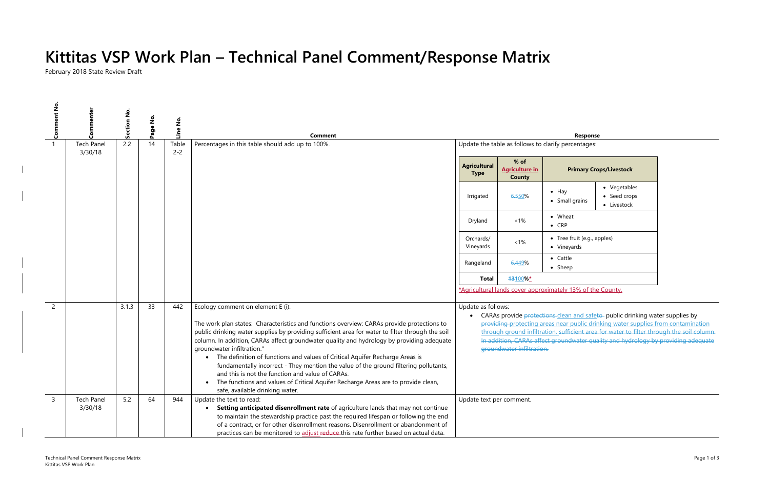ter supplies by

rom contamination bugh the soil column. **In addition adequate** 

# **Kittitas VSP Work Plan – Technical Panel Comment/Response Matrix**

February 2018 State Review Draft

| <b>Comment No</b> | menter<br>င်<br>၁     | ş<br>Section | $\frac{1}{2}$<br>age | Line No.         | <b>Comment</b>                                                                                                                                                                                                                                                                                                                                                                                                                                                                                                                                                                                                                                                                                                                               |                                                     |                                                  | Response                                                   |                                                                                                                                                                                                                                                                                 |
|-------------------|-----------------------|--------------|----------------------|------------------|----------------------------------------------------------------------------------------------------------------------------------------------------------------------------------------------------------------------------------------------------------------------------------------------------------------------------------------------------------------------------------------------------------------------------------------------------------------------------------------------------------------------------------------------------------------------------------------------------------------------------------------------------------------------------------------------------------------------------------------------|-----------------------------------------------------|--------------------------------------------------|------------------------------------------------------------|---------------------------------------------------------------------------------------------------------------------------------------------------------------------------------------------------------------------------------------------------------------------------------|
|                   | <b>Tech Panel</b>     | 2.2          | 14                   | Table<br>$2 - 2$ | Percentages in this table should add up to 100%.                                                                                                                                                                                                                                                                                                                                                                                                                                                                                                                                                                                                                                                                                             | Update the table as follows to clarify percentages: |                                                  |                                                            |                                                                                                                                                                                                                                                                                 |
|                   | 3/30/18               |              |                      |                  |                                                                                                                                                                                                                                                                                                                                                                                                                                                                                                                                                                                                                                                                                                                                              | <b>Agricultural</b><br><b>Type</b>                  | $%$ of<br><b>Agriculture in</b><br><b>County</b> |                                                            | <b>Primary Crops/Livestock</b>                                                                                                                                                                                                                                                  |
|                   |                       |              |                      |                  |                                                                                                                                                                                                                                                                                                                                                                                                                                                                                                                                                                                                                                                                                                                                              | Irrigated                                           | 6.550%                                           | $\bullet$ Hay<br>• Small grains                            | • Vegetables<br>• Seed crops<br>• Livestock                                                                                                                                                                                                                                     |
|                   |                       |              |                      |                  |                                                                                                                                                                                                                                                                                                                                                                                                                                                                                                                                                                                                                                                                                                                                              | Dryland                                             | $~1\%$                                           | • Wheat<br>$\bullet$ CRP                                   |                                                                                                                                                                                                                                                                                 |
|                   |                       |              |                      |                  |                                                                                                                                                                                                                                                                                                                                                                                                                                                                                                                                                                                                                                                                                                                                              | Orchards/<br>Vineyards                              | $< 1\%$                                          | • Tree fruit (e.g., apples)<br>• Vineyards                 |                                                                                                                                                                                                                                                                                 |
|                   |                       |              |                      |                  |                                                                                                                                                                                                                                                                                                                                                                                                                                                                                                                                                                                                                                                                                                                                              | Rangeland                                           | 6.449%                                           | $\bullet$ Cattle<br>$\bullet$ Sheep                        |                                                                                                                                                                                                                                                                                 |
|                   |                       |              |                      |                  |                                                                                                                                                                                                                                                                                                                                                                                                                                                                                                                                                                                                                                                                                                                                              | <b>Total</b>                                        | 13100%*                                          |                                                            |                                                                                                                                                                                                                                                                                 |
|                   |                       |              |                      |                  |                                                                                                                                                                                                                                                                                                                                                                                                                                                                                                                                                                                                                                                                                                                                              |                                                     |                                                  | *Agricultural lands cover approximately 13% of the County. |                                                                                                                                                                                                                                                                                 |
| 2                 |                       | 3.1.3        | 33                   | 442              | Ecology comment on element E (i):<br>The work plan states: Characteristics and functions overview: CARAs provide protections to<br>public drinking water supplies by providing sufficient area for water to filter through the soil<br>column. In addition, CARAs affect groundwater quality and hydrology by providing adequate<br>groundwater infiltration."<br>The definition of functions and values of Critical Aquifer Recharge Areas is<br>$\bullet$<br>fundamentally incorrect - They mention the value of the ground filtering pollutants,<br>and this is not the function and value of CARAs.<br>The functions and values of Critical Aquifer Recharge Areas are to provide clean,<br>$\bullet$<br>safe, available drinking water. | Update as follows:                                  | groundwater infiltration.                        |                                                            | CARAs provide protections-clean and safeto- public drinking wat<br>providing-protecting areas near public drinking water supplies fr<br>through ground infiltration. sufficient area for water to filter thro<br>In addition, CARAs affect groundwater quality and hydrology by |
| $\overline{3}$    | Tech Panel<br>3/30/18 | 5.2          | 64                   | 944              | Update the text to read:<br>Setting anticipated disenrollment rate of agriculture lands that may not continue<br>to maintain the stewardship practice past the required lifespan or following the end<br>of a contract, or for other disenrollment reasons. Disenrollment or abandonment of<br>practices can be monitored to adjust reduce this rate further based on actual data.                                                                                                                                                                                                                                                                                                                                                           | Update text per comment.                            |                                                  |                                                            |                                                                                                                                                                                                                                                                                 |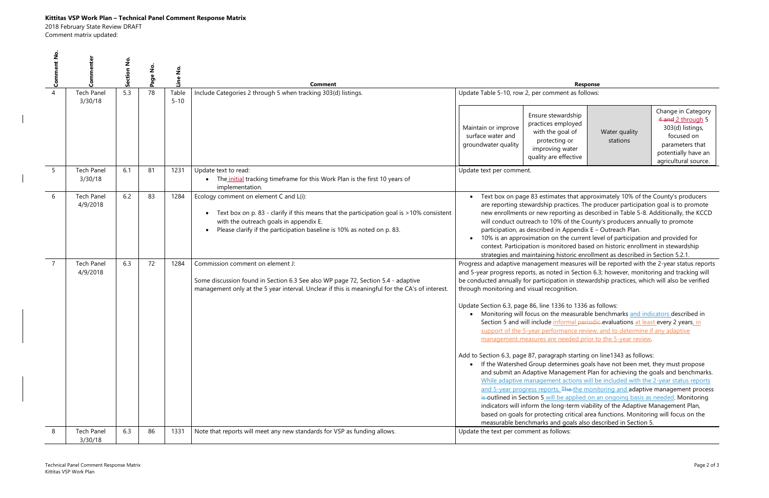## **Kittitas VSP Work Plan – Technical Panel Comment Response Matrix**

2018 February State Review DRAFT

Comment matrix updated:

| Comment |                                                                   | Ž   |    | ş<br>Line         | Comment                                                                                                                                                                                                                                                | <b>Response</b>                                                                                                                                                                                                                                                                                                                                                                                                                                                                                                                                                                                                                                                                                                                                                                                                                                                                                                                                                                                                                                                                                                                                                                                                                                                                                                                                                                                                                                                                 |  |  |
|---------|-------------------------------------------------------------------|-----|----|-------------------|--------------------------------------------------------------------------------------------------------------------------------------------------------------------------------------------------------------------------------------------------------|---------------------------------------------------------------------------------------------------------------------------------------------------------------------------------------------------------------------------------------------------------------------------------------------------------------------------------------------------------------------------------------------------------------------------------------------------------------------------------------------------------------------------------------------------------------------------------------------------------------------------------------------------------------------------------------------------------------------------------------------------------------------------------------------------------------------------------------------------------------------------------------------------------------------------------------------------------------------------------------------------------------------------------------------------------------------------------------------------------------------------------------------------------------------------------------------------------------------------------------------------------------------------------------------------------------------------------------------------------------------------------------------------------------------------------------------------------------------------------|--|--|
|         | <b>Tech Panel</b><br>3/30/18                                      | 5.3 | 78 | Table<br>$5 - 10$ | Include Categories 2 through 5 when tracking 303(d) listings.                                                                                                                                                                                          | Update Table 5-10, row 2, per comment as follows:                                                                                                                                                                                                                                                                                                                                                                                                                                                                                                                                                                                                                                                                                                                                                                                                                                                                                                                                                                                                                                                                                                                                                                                                                                                                                                                                                                                                                               |  |  |
|         |                                                                   |     |    |                   |                                                                                                                                                                                                                                                        | Change in Category<br>Ensure stewardship<br>4 and 2 through 5<br>practices employed<br>303(d) listings,<br>Maintain or improve<br>with the goal of<br>Water quality<br>surface water and<br>focused on<br>protecting or<br>stations<br>groundwater quality<br>parameters that<br>improving water<br>potentially have an<br>quality are effective<br>agricultural source.                                                                                                                                                                                                                                                                                                                                                                                                                                                                                                                                                                                                                                                                                                                                                                                                                                                                                                                                                                                                                                                                                                        |  |  |
|         | <b>Tech Panel</b><br>3/30/18                                      | 6.1 | 81 | 1231              | Update text to read:<br>The initial tracking timeframe for this Work Plan is the first 10 years of<br>implementation.                                                                                                                                  | Update text per comment.                                                                                                                                                                                                                                                                                                                                                                                                                                                                                                                                                                                                                                                                                                                                                                                                                                                                                                                                                                                                                                                                                                                                                                                                                                                                                                                                                                                                                                                        |  |  |
| 6       | <b>Tech Panel</b><br>4/9/2018                                     | 6.2 | 83 | 1284              | Ecology comment on element C and L(i):<br>Text box on p. 83 - clarify if this means that the participation goal is >10% consistent<br>with the outreach goals in appendix E.<br>Please clarify if the participation baseline is 10% as noted on p. 83. | Text box on page 83 estimates that approximately 10% of the County's producers<br>are reporting stewardship practices. The producer participation goal is to promote<br>new enrollments or new reporting as described in Table 5-8. Additionally, the KCCD<br>will conduct outreach to 10% of the County's producers annually to promote<br>participation, as described in Appendix E - Outreach Plan.<br>10% is an approximation on the current level of participation and provided for<br>context. Participation is monitored based on historic enrollment in stewardship<br>strategies and maintaining historic enrollment as described in Section 5.2.1.                                                                                                                                                                                                                                                                                                                                                                                                                                                                                                                                                                                                                                                                                                                                                                                                                    |  |  |
|         | <b>Tech Panel</b><br>4/9/2018                                     | 6.3 | 72 | 1284              | Commission comment on element J:<br>Some discussion found in Section 6.3 See also WP page 72, Section 5.4 - adaptive<br>management only at the 5 year interval. Unclear if this is meaningful for the CA's of interest.                                | Progress and adaptive management measures will be reported with the 2-year status reports<br>and 5-year progress reports, as noted in Section 6.3; however, monitoring and tracking will<br>be conducted annually for participation in stewardship practices, which will also be verified<br>through monitoring and visual recognition.<br>Update Section 6.3, page 86, line 1336 to 1336 as follows:<br>Monitoring will focus on the measurable benchmarks and indicators described in<br>Section 5 and will include informal periodic evaluations at least every 2 years, in<br>support of the 5-year performance review, and to determine if any adaptive<br>management measures are needed prior to the 5-year review.<br>Add to Section 6.3, page 87, paragraph starting on line1343 as follows:<br>If the Watershed Group determines goals have not been met, they must propose<br>and submit an Adaptive Management Plan for achieving the goals and benchmarks.<br>While adaptive management actions will be included with the 2-year status reports<br>and 5-year progress reports. The the monitoring and adaptive management process<br>is outlined in Section 5 will be applied on an ongoing basis as needed. Monitoring<br>indicators will inform the long-term viability of the Adaptive Management Plan,<br>based on goals for protecting critical area functions. Monitoring will focus on the<br>measurable benchmarks and goals also described in Section 5. |  |  |
| 8       | <b>Tech Panel</b><br>3/30/18                                      | 6.3 | 86 | 1331              | Note that reports will meet any new standards for VSP as funding allows.                                                                                                                                                                               | Update the text per comment as follows:                                                                                                                                                                                                                                                                                                                                                                                                                                                                                                                                                                                                                                                                                                                                                                                                                                                                                                                                                                                                                                                                                                                                                                                                                                                                                                                                                                                                                                         |  |  |
|         | Technical Panel Comment Response Matrix<br>Kittitas VSP Work Plan |     |    |                   |                                                                                                                                                                                                                                                        | Page 2 of 3                                                                                                                                                                                                                                                                                                                                                                                                                                                                                                                                                                                                                                                                                                                                                                                                                                                                                                                                                                                                                                                                                                                                                                                                                                                                                                                                                                                                                                                                     |  |  |